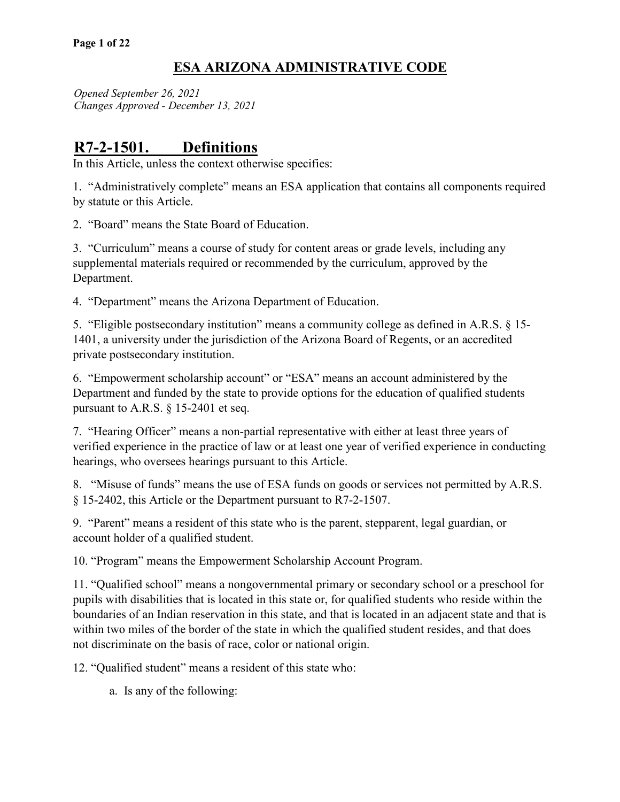*Opened September 26, 2021 Changes Approved - December 13, 2021*

# **R7-2-1501. Definitions**

In this Article, unless the context otherwise specifies:

1. "Administratively complete" means an ESA application that contains all components required by statute or this Article.

2. "Board" means the State Board of Education.

3. "Curriculum" means a course of study for content areas or grade levels, including any supplemental materials required or recommended by the curriculum, approved by the Department.

4. "Department" means the Arizona Department of Education.

5. "Eligible postsecondary institution" means a community college as defined in A.R.S. § 15- 1401, a university under the jurisdiction of the Arizona Board of Regents, or an accredited private postsecondary institution.

6. "Empowerment scholarship account" or "ESA" means an account administered by the Department and funded by the state to provide options for the education of qualified students pursuant to A.R.S. § 15-2401 et seq.

7. "Hearing Officer" means a non-partial representative with either at least three years of verified experience in the practice of law or at least one year of verified experience in conducting hearings, who oversees hearings pursuant to this Article.

8. "Misuse of funds" means the use of ESA funds on goods or services not permitted by A.R.S. § 15-2402, this Article or the Department pursuant to R7-2-1507.

9. "Parent" means a resident of this state who is the parent, stepparent, legal guardian, or account holder of a qualified student.

10. "Program" means the Empowerment Scholarship Account Program.

11. "Qualified school" means a nongovernmental primary or secondary school or a preschool for pupils with disabilities that is located in this state or, for qualified students who reside within the boundaries of an Indian reservation in this state, and that is located in an adjacent state and that is within two miles of the border of the state in which the qualified student resides, and that does not discriminate on the basis of race, color or national origin.

12. "Qualified student" means a resident of this state who:

a. Is any of the following: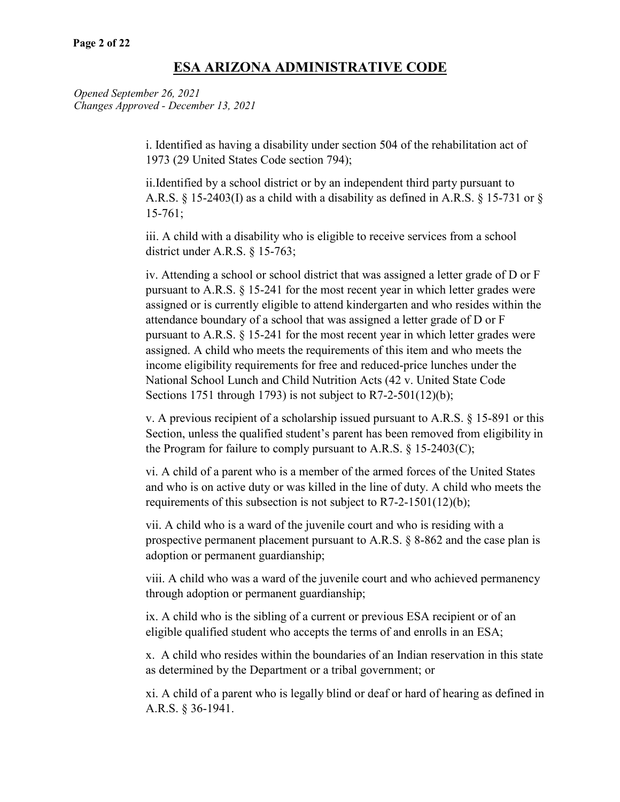*Opened September 26, 2021 Changes Approved - December 13, 2021*

> i. Identified as having a disability under section 504 of the rehabilitation act of 1973 (29 United States Code section 794);

ii.Identified by a school district or by an independent third party pursuant to A.R.S. § 15-2403(I) as a child with a disability as defined in A.R.S. § 15-731 or § 15-761;

iii. A child with a disability who is eligible to receive services from a school district under A.R.S. § 15-763;

iv. Attending a school or school district that was assigned a letter grade of D or F pursuant to A.R.S. § 15-241 for the most recent year in which letter grades were assigned or is currently eligible to attend kindergarten and who resides within the attendance boundary of a school that was assigned a letter grade of D or F pursuant to A.R.S. § 15-241 for the most recent year in which letter grades were assigned. A child who meets the requirements of this item and who meets the income eligibility requirements for free and reduced-price lunches under the National School Lunch and Child Nutrition Acts (42 v. United State Code Sections 1751 through 1793) is not subject to  $R7-2-501(12)(b)$ ;

v. A previous recipient of a scholarship issued pursuant to A.R.S. § 15-891 or this Section, unless the qualified student's parent has been removed from eligibility in the Program for failure to comply pursuant to A.R.S.  $\S$  15-2403(C);

vi. A child of a parent who is a member of the armed forces of the United States and who is on active duty or was killed in the line of duty. A child who meets the requirements of this subsection is not subject to R7-2-1501(12)(b);

vii. A child who is a ward of the juvenile court and who is residing with a prospective permanent placement pursuant to A.R.S. § 8-862 and the case plan is adoption or permanent guardianship;

viii. A child who was a ward of the juvenile court and who achieved permanency through adoption or permanent guardianship;

ix. A child who is the sibling of a current or previous ESA recipient or of an eligible qualified student who accepts the terms of and enrolls in an ESA;

x. A child who resides within the boundaries of an Indian reservation in this state as determined by the Department or a tribal government; or

xi. A child of a parent who is legally blind or deaf or hard of hearing as defined in A.R.S. § 36-1941.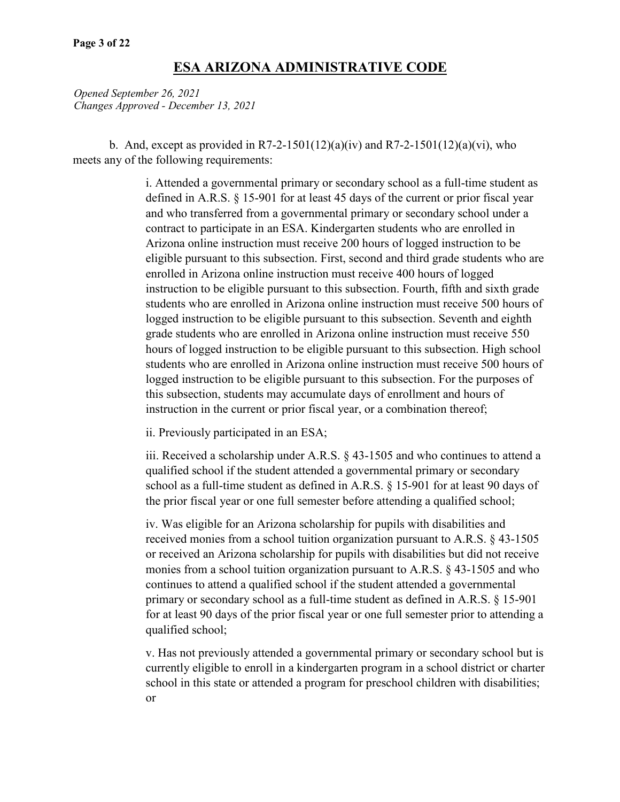*Opened September 26, 2021 Changes Approved - December 13, 2021*

b. And, except as provided in R7-2-1501(12)(a)(iv) and R7-2-1501(12)(a)(vi), who meets any of the following requirements:

> i. Attended a governmental primary or secondary school as a full-time student as defined in A.R.S. § 15-901 for at least 45 days of the current or prior fiscal year and who transferred from a governmental primary or secondary school under a contract to participate in an ESA. Kindergarten students who are enrolled in Arizona online instruction must receive 200 hours of logged instruction to be eligible pursuant to this subsection. First, second and third grade students who are enrolled in Arizona online instruction must receive 400 hours of logged instruction to be eligible pursuant to this subsection. Fourth, fifth and sixth grade students who are enrolled in Arizona online instruction must receive 500 hours of logged instruction to be eligible pursuant to this subsection. Seventh and eighth grade students who are enrolled in Arizona online instruction must receive 550 hours of logged instruction to be eligible pursuant to this subsection. High school students who are enrolled in Arizona online instruction must receive 500 hours of logged instruction to be eligible pursuant to this subsection. For the purposes of this subsection, students may accumulate days of enrollment and hours of instruction in the current or prior fiscal year, or a combination thereof;

ii. Previously participated in an ESA;

iii. Received a scholarship under A.R.S. § 43-1505 and who continues to attend a qualified school if the student attended a governmental primary or secondary school as a full-time student as defined in A.R.S. § 15-901 for at least 90 days of the prior fiscal year or one full semester before attending a qualified school;

iv. Was eligible for an Arizona scholarship for pupils with disabilities and received monies from a school tuition organization pursuant to A.R.S. § 43-1505 or received an Arizona scholarship for pupils with disabilities but did not receive monies from a school tuition organization pursuant to A.R.S. § 43-1505 and who continues to attend a qualified school if the student attended a governmental primary or secondary school as a full-time student as defined in A.R.S. § 15-901 for at least 90 days of the prior fiscal year or one full semester prior to attending a qualified school;

v. Has not previously attended a governmental primary or secondary school but is currently eligible to enroll in a kindergarten program in a school district or charter school in this state or attended a program for preschool children with disabilities; or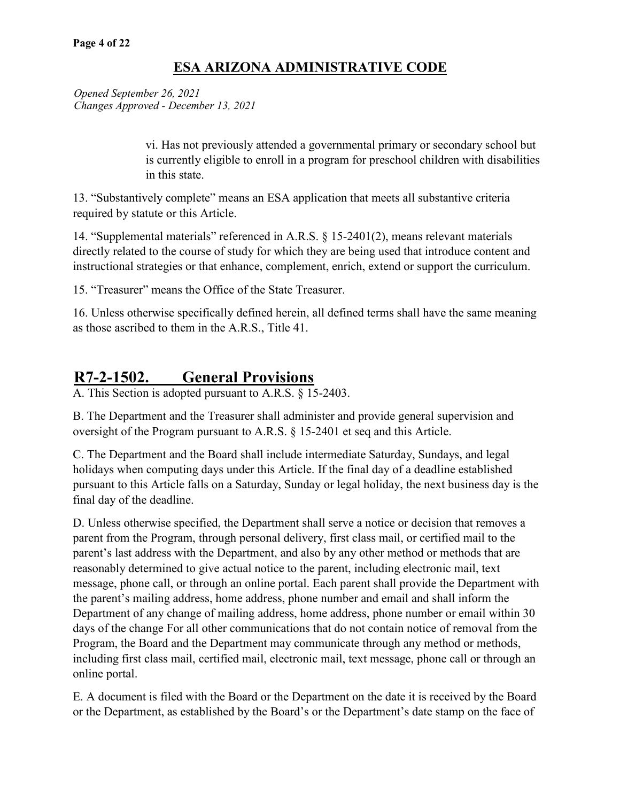*Opened September 26, 2021 Changes Approved - December 13, 2021*

> vi. Has not previously attended a governmental primary or secondary school but is currently eligible to enroll in a program for preschool children with disabilities in this state.

13. "Substantively complete" means an ESA application that meets all substantive criteria required by statute or this Article.

14. "Supplemental materials" referenced in A.R.S. § 15-2401(2), means relevant materials directly related to the course of study for which they are being used that introduce content and instructional strategies or that enhance, complement, enrich, extend or support the curriculum.

15. "Treasurer" means the Office of the State Treasurer.

16. Unless otherwise specifically defined herein, all defined terms shall have the same meaning as those ascribed to them in the A.R.S., Title 41.

# **R7-2-1502. General Provisions**

A. This Section is adopted pursuant to A.R.S. § 15-2403.

B. The Department and the Treasurer shall administer and provide general supervision and oversight of the Program pursuant to A.R.S. § 15-2401 et seq and this Article.

C. The Department and the Board shall include intermediate Saturday, Sundays, and legal holidays when computing days under this Article. If the final day of a deadline established pursuant to this Article falls on a Saturday, Sunday or legal holiday, the next business day is the final day of the deadline.

D. Unless otherwise specified, the Department shall serve a notice or decision that removes a parent from the Program, through personal delivery, first class mail, or certified mail to the parent's last address with the Department, and also by any other method or methods that are reasonably determined to give actual notice to the parent, including electronic mail, text message, phone call, or through an online portal. Each parent shall provide the Department with the parent's mailing address, home address, phone number and email and shall inform the Department of any change of mailing address, home address, phone number or email within 30 days of the change For all other communications that do not contain notice of removal from the Program, the Board and the Department may communicate through any method or methods, including first class mail, certified mail, electronic mail, text message, phone call or through an online portal.

E. A document is filed with the Board or the Department on the date it is received by the Board or the Department, as established by the Board's or the Department's date stamp on the face of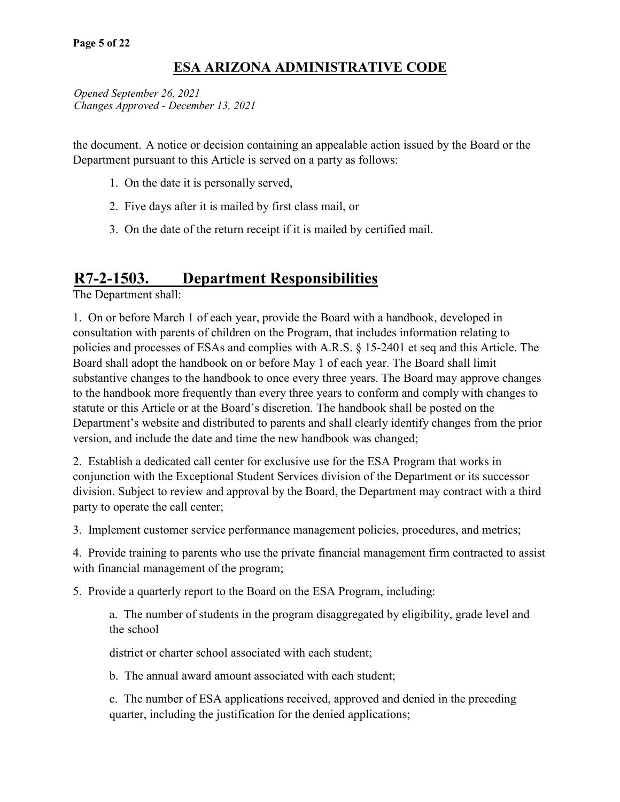*Opened September 26, 2021 Changes Approved - December 13, 2021*

the document. A notice or decision containing an appealable action issued by the Board or the Department pursuant to this Article is served on a party as follows:

- 1. On the date it is personally served,
- 2. Five days after it is mailed by first class mail, or
- 3. On the date of the return receipt if it is mailed by certified mail.

# **R7-2-1503. Department Responsibilities**

The Department shall:

1. On or before March 1 of each year, provide the Board with a handbook, developed in consultation with parents of children on the Program, that includes information relating to policies and processes of ESAs and complies with A.R.S. § 15-2401 et seq and this Article. The Board shall adopt the handbook on or before May 1 of each year. The Board shall limit substantive changes to the handbook to once every three years. The Board may approve changes to the handbook more frequently than every three years to conform and comply with changes to statute or this Article or at the Board's discretion. The handbook shall be posted on the Department's website and distributed to parents and shall clearly identify changes from the prior version, and include the date and time the new handbook was changed;

2. Establish a dedicated call center for exclusive use for the ESA Program that works in conjunction with the Exceptional Student Services division of the Department or its successor division. Subject to review and approval by the Board, the Department may contract with a third party to operate the call center;

3. Implement customer service performance management policies, procedures, and metrics;

4. Provide training to parents who use the private financial management firm contracted to assist with financial management of the program;

5. Provide a quarterly report to the Board on the ESA Program, including:

a. The number of students in the program disaggregated by eligibility, grade level and the school

district or charter school associated with each student;

b. The annual award amount associated with each student;

c. The number of ESA applications received, approved and denied in the preceding quarter, including the justification for the denied applications;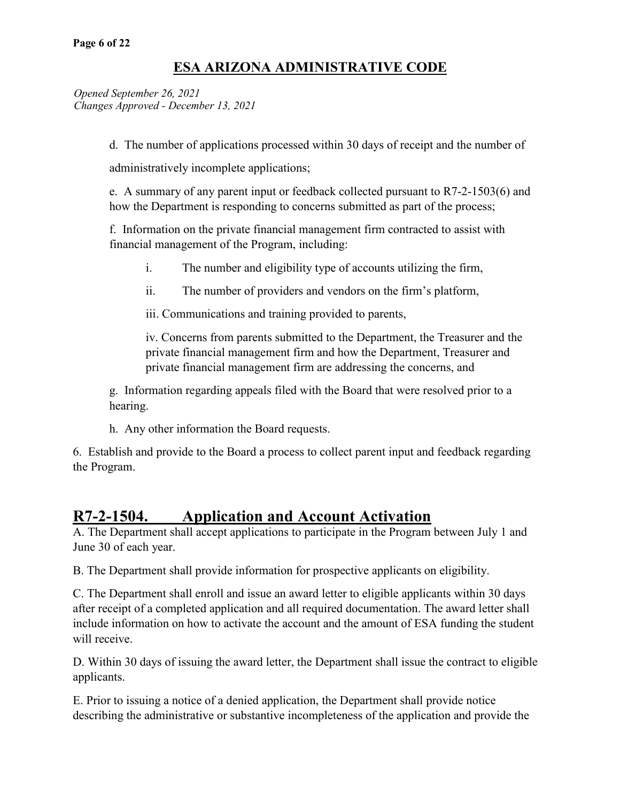*Opened September 26, 2021 Changes Approved - December 13, 2021*

d. The number of applications processed within 30 days of receipt and the number of

administratively incomplete applications;

e. A summary of any parent input or feedback collected pursuant to R7-2-1503(6) and how the Department is responding to concerns submitted as part of the process;

f. Information on the private financial management firm contracted to assist with financial management of the Program, including:

- i. The number and eligibility type of accounts utilizing the firm,
- ii. The number of providers and vendors on the firm's platform,

iii. Communications and training provided to parents,

iv. Concerns from parents submitted to the Department, the Treasurer and the private financial management firm and how the Department, Treasurer and private financial management firm are addressing the concerns, and

g. Information regarding appeals filed with the Board that were resolved prior to a hearing.

h. Any other information the Board requests.

6. Establish and provide to the Board a process to collect parent input and feedback regarding the Program.

# **R7-2-1504. Application and Account Activation**

A. The Department shall accept applications to participate in the Program between July 1 and June 30 of each year.

B. The Department shall provide information for prospective applicants on eligibility.

C. The Department shall enroll and issue an award letter to eligible applicants within 30 days after receipt of a completed application and all required documentation. The award letter shall include information on how to activate the account and the amount of ESA funding the student will receive.

D. Within 30 days of issuing the award letter, the Department shall issue the contract to eligible applicants.

E. Prior to issuing a notice of a denied application, the Department shall provide notice describing the administrative or substantive incompleteness of the application and provide the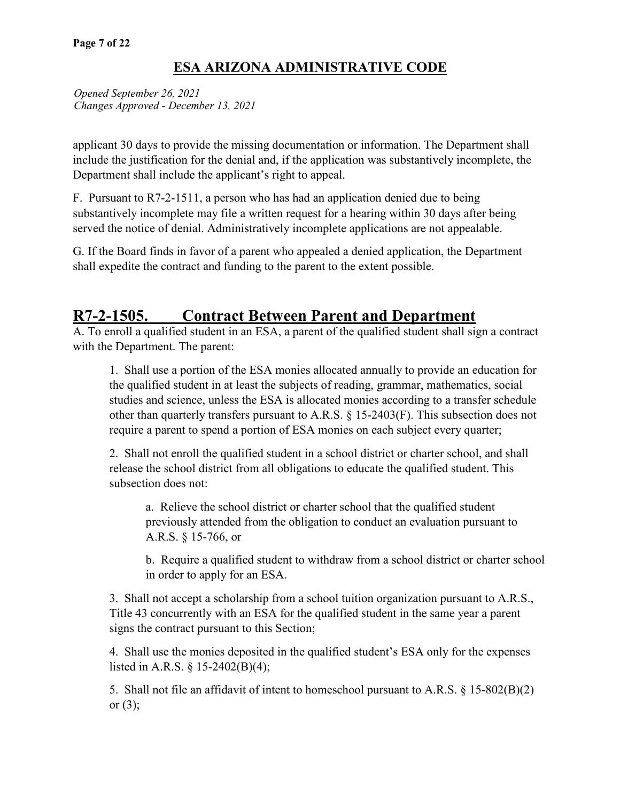*Opened September 26, 2021 Changes Approved - December 13, 2021*

applicant 30 days to provide the missing documentation or information. The Department shall include the justification for the denial and, if the application was substantively incomplete, the Department shall include the applicant's right to appeal.

F. Pursuant to R7-2-1511, a person who has had an application denied due to being substantively incomplete may file a written request for a hearing within 30 days after being served the notice of denial. Administratively incomplete applications are not appealable.

G. If the Board finds in favor of a parent who appealed a denied application, the Department shall expedite the contract and funding to the parent to the extent possible.

# **R7-2-1505. Contract Between Parent and Department**

A. To enroll a qualified student in an ESA, a parent of the qualified student shall sign a contract with the Department. The parent:

1. Shall use a portion of the ESA monies allocated annually to provide an education for the qualified student in at least the subjects of reading, grammar, mathematics, social studies and science, unless the ESA is allocated monies according to a transfer schedule other than quarterly transfers pursuant to A.R.S. § 15-2403(F). This subsection does not require a parent to spend a portion of ESA monies on each subject every quarter;

2. Shall not enroll the qualified student in a school district or charter school, and shall release the school district from all obligations to educate the qualified student. This subsection does not:

a. Relieve the school district or charter school that the qualified student previously attended from the obligation to conduct an evaluation pursuant to A.R.S. § 15-766, or

b. Require a qualified student to withdraw from a school district or charter school in order to apply for an ESA.

3. Shall not accept a scholarship from a school tuition organization pursuant to A.R.S., Title 43 concurrently with an ESA for the qualified student in the same year a parent signs the contract pursuant to this Section;

4. Shall use the monies deposited in the qualified student's ESA only for the expenses listed in A.R.S. § 15-2402(B)(4);

5. Shall not file an affidavit of intent to homeschool pursuant to A.R.S. § 15-802(B)(2) or  $(3)$ ;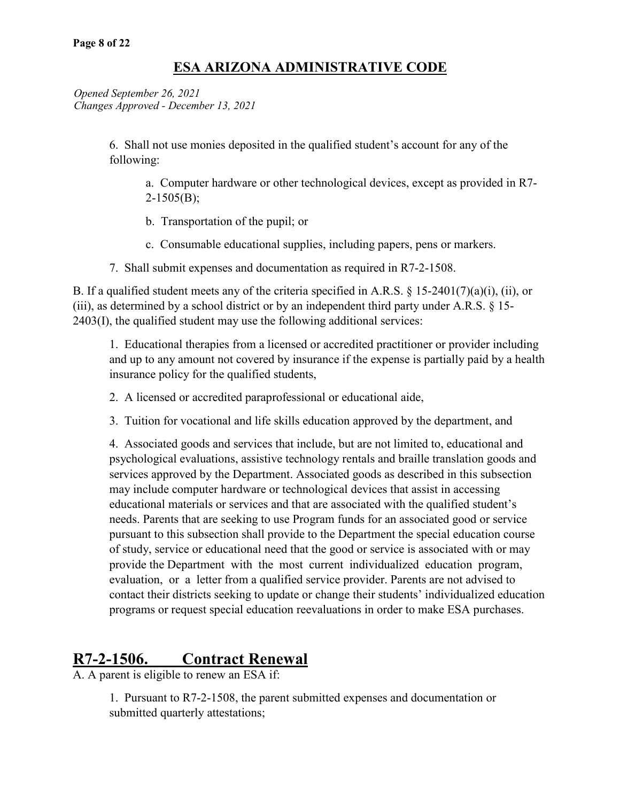*Opened September 26, 2021 Changes Approved - December 13, 2021*

> 6. Shall not use monies deposited in the qualified student's account for any of the following:

a. Computer hardware or other technological devices, except as provided in R7- 2-1505(B);

- b. Transportation of the pupil; or
- c. Consumable educational supplies, including papers, pens or markers.
- 7. Shall submit expenses and documentation as required in R7-2-1508.

B. If a qualified student meets any of the criteria specified in A.R.S.  $\S$  15-2401(7)(a)(i), (ii), or (iii), as determined by a school district or by an independent third party under A.R.S. § 15- 2403(I), the qualified student may use the following additional services:

1. Educational therapies from a licensed or accredited practitioner or provider including and up to any amount not covered by insurance if the expense is partially paid by a health insurance policy for the qualified students,

- 2. A licensed or accredited paraprofessional or educational aide,
- 3. Tuition for vocational and life skills education approved by the department, and

4. Associated goods and services that include, but are not limited to, educational and psychological evaluations, assistive technology rentals and braille translation goods and services approved by the Department. Associated goods as described in this subsection may include computer hardware or technological devices that assist in accessing educational materials or services and that are associated with the qualified student's needs. Parents that are seeking to use Program funds for an associated good or service pursuant to this subsection shall provide to the Department the special education course of study, service or educational need that the good or service is associated with or may provide the Department with the most current individualized education program, evaluation, or a letter from a qualified service provider. Parents are not advised to contact their districts seeking to update or change their students' individualized education programs or request special education reevaluations in order to make ESA purchases.

# **R7-2-1506. Contract Renewal**

A. A parent is eligible to renew an ESA if:

1. Pursuant to R7-2-1508, the parent submitted expenses and documentation or submitted quarterly attestations;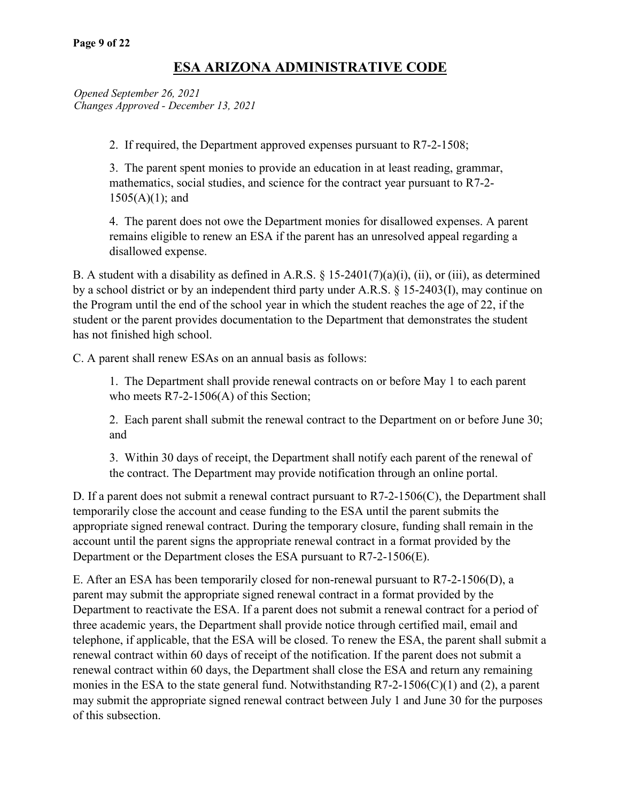*Opened September 26, 2021 Changes Approved - December 13, 2021*

2. If required, the Department approved expenses pursuant to R7-2-1508;

3. The parent spent monies to provide an education in at least reading, grammar, mathematics, social studies, and science for the contract year pursuant to R7-2- 1505(A)(1); and

4. The parent does not owe the Department monies for disallowed expenses. A parent remains eligible to renew an ESA if the parent has an unresolved appeal regarding a disallowed expense.

B. A student with a disability as defined in A.R.S.  $\S$  15-2401(7)(a)(i), (ii), or (iii), as determined by a school district or by an independent third party under A.R.S. § 15-2403(I), may continue on the Program until the end of the school year in which the student reaches the age of 22, if the student or the parent provides documentation to the Department that demonstrates the student has not finished high school.

C. A parent shall renew ESAs on an annual basis as follows:

1. The Department shall provide renewal contracts on or before May 1 to each parent who meets R7-2-1506(A) of this Section;

2. Each parent shall submit the renewal contract to the Department on or before June 30; and

3. Within 30 days of receipt, the Department shall notify each parent of the renewal of the contract. The Department may provide notification through an online portal.

D. If a parent does not submit a renewal contract pursuant to R7-2-1506(C), the Department shall temporarily close the account and cease funding to the ESA until the parent submits the appropriate signed renewal contract. During the temporary closure, funding shall remain in the account until the parent signs the appropriate renewal contract in a format provided by the Department or the Department closes the ESA pursuant to R7-2-1506(E).

E. After an ESA has been temporarily closed for non-renewal pursuant to R7-2-1506(D), a parent may submit the appropriate signed renewal contract in a format provided by the Department to reactivate the ESA. If a parent does not submit a renewal contract for a period of three academic years, the Department shall provide notice through certified mail, email and telephone, if applicable, that the ESA will be closed. To renew the ESA, the parent shall submit a renewal contract within 60 days of receipt of the notification. If the parent does not submit a renewal contract within 60 days, the Department shall close the ESA and return any remaining monies in the ESA to the state general fund. Notwithstanding R7-2-1506(C)(1) and (2), a parent may submit the appropriate signed renewal contract between July 1 and June 30 for the purposes of this subsection.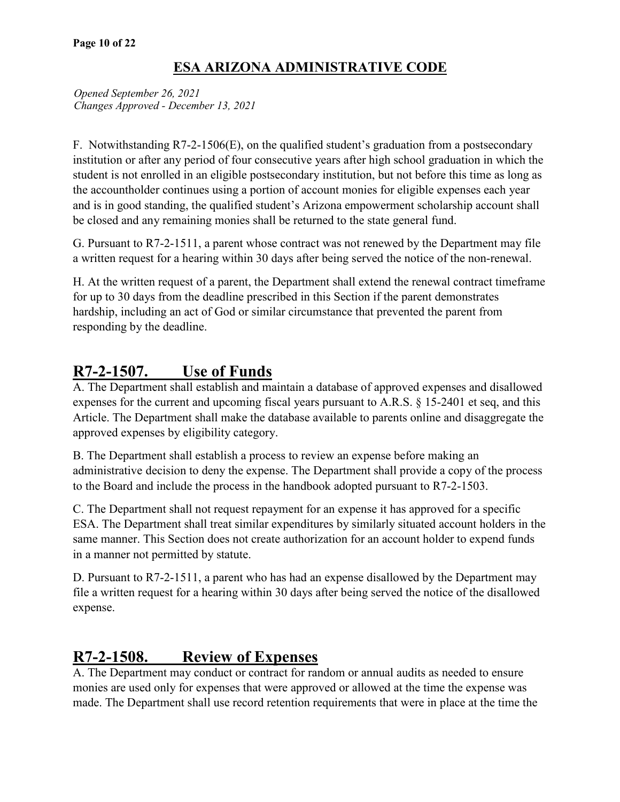*Opened September 26, 2021 Changes Approved - December 13, 2021*

F. Notwithstanding R7-2-1506(E), on the qualified student's graduation from a postsecondary institution or after any period of four consecutive years after high school graduation in which the student is not enrolled in an eligible postsecondary institution, but not before this time as long as the accountholder continues using a portion of account monies for eligible expenses each year and is in good standing, the qualified student's Arizona empowerment scholarship account shall be closed and any remaining monies shall be returned to the state general fund.

G. Pursuant to R7-2-1511, a parent whose contract was not renewed by the Department may file a written request for a hearing within 30 days after being served the notice of the non-renewal.

H. At the written request of a parent, the Department shall extend the renewal contract timeframe for up to 30 days from the deadline prescribed in this Section if the parent demonstrates hardship, including an act of God or similar circumstance that prevented the parent from responding by the deadline.

# **R7-2-1507. Use of Funds**

A. The Department shall establish and maintain a database of approved expenses and disallowed expenses for the current and upcoming fiscal years pursuant to A.R.S. § 15-2401 et seq, and this Article. The Department shall make the database available to parents online and disaggregate the approved expenses by eligibility category.

B. The Department shall establish a process to review an expense before making an administrative decision to deny the expense. The Department shall provide a copy of the process to the Board and include the process in the handbook adopted pursuant to R7-2-1503.

C. The Department shall not request repayment for an expense it has approved for a specific ESA. The Department shall treat similar expenditures by similarly situated account holders in the same manner. This Section does not create authorization for an account holder to expend funds in a manner not permitted by statute.

D. Pursuant to R7-2-1511, a parent who has had an expense disallowed by the Department may file a written request for a hearing within 30 days after being served the notice of the disallowed expense.

# **R7-2-1508. Review of Expenses**

A. The Department may conduct or contract for random or annual audits as needed to ensure monies are used only for expenses that were approved or allowed at the time the expense was made. The Department shall use record retention requirements that were in place at the time the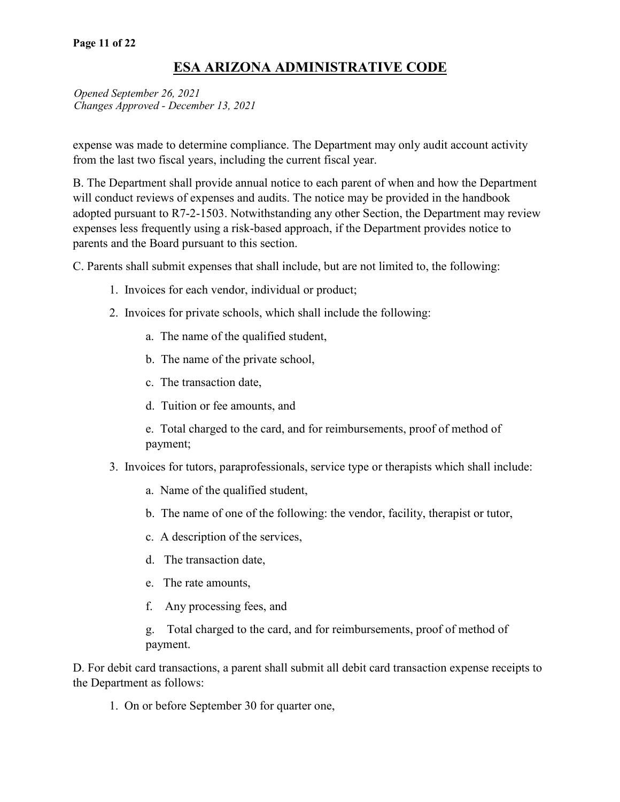*Opened September 26, 2021 Changes Approved - December 13, 2021*

expense was made to determine compliance. The Department may only audit account activity from the last two fiscal years, including the current fiscal year.

B. The Department shall provide annual notice to each parent of when and how the Department will conduct reviews of expenses and audits. The notice may be provided in the handbook adopted pursuant to R7-2-1503. Notwithstanding any other Section, the Department may review expenses less frequently using a risk-based approach, if the Department provides notice to parents and the Board pursuant to this section.

C. Parents shall submit expenses that shall include, but are not limited to, the following:

- 1. Invoices for each vendor, individual or product;
- 2. Invoices for private schools, which shall include the following:
	- a. The name of the qualified student,
	- b. The name of the private school,
	- c. The transaction date,
	- d. Tuition or fee amounts, and

e. Total charged to the card, and for reimbursements, proof of method of payment;

- 3. Invoices for tutors, paraprofessionals, service type or therapists which shall include:
	- a. Name of the qualified student,
	- b. The name of one of the following: the vendor, facility, therapist or tutor,
	- c. A description of the services,
	- d. The transaction date,
	- e. The rate amounts,
	- f. Any processing fees, and

g. Total charged to the card, and for reimbursements, proof of method of payment.

D. For debit card transactions, a parent shall submit all debit card transaction expense receipts to the Department as follows:

1. On or before September 30 for quarter one,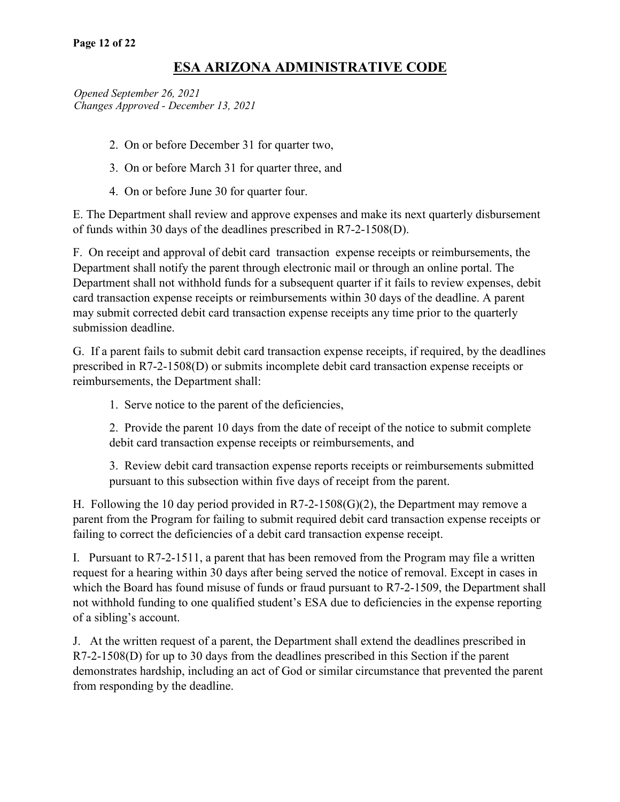*Opened September 26, 2021 Changes Approved - December 13, 2021*

- 2. On or before December 31 for quarter two,
- 3. On or before March 31 for quarter three, and
- 4. On or before June 30 for quarter four.

E. The Department shall review and approve expenses and make its next quarterly disbursement of funds within 30 days of the deadlines prescribed in R7-2-1508(D).

F. On receipt and approval of debit card transaction expense receipts or reimbursements, the Department shall notify the parent through electronic mail or through an online portal. The Department shall not withhold funds for a subsequent quarter if it fails to review expenses, debit card transaction expense receipts or reimbursements within 30 days of the deadline. A parent may submit corrected debit card transaction expense receipts any time prior to the quarterly submission deadline.

G. If a parent fails to submit debit card transaction expense receipts, if required, by the deadlines prescribed in R7-2-1508(D) or submits incomplete debit card transaction expense receipts or reimbursements, the Department shall:

1. Serve notice to the parent of the deficiencies,

2. Provide the parent 10 days from the date of receipt of the notice to submit complete debit card transaction expense receipts or reimbursements, and

3. Review debit card transaction expense reports receipts or reimbursements submitted pursuant to this subsection within five days of receipt from the parent.

H. Following the 10 day period provided in  $R7-2-1508(G)(2)$ , the Department may remove a parent from the Program for failing to submit required debit card transaction expense receipts or failing to correct the deficiencies of a debit card transaction expense receipt.

I. Pursuant to R7-2-1511, a parent that has been removed from the Program may file a written request for a hearing within 30 days after being served the notice of removal. Except in cases in which the Board has found misuse of funds or fraud pursuant to R7-2-1509, the Department shall not withhold funding to one qualified student's ESA due to deficiencies in the expense reporting of a sibling's account.

J. At the written request of a parent, the Department shall extend the deadlines prescribed in R7-2-1508(D) for up to 30 days from the deadlines prescribed in this Section if the parent demonstrates hardship, including an act of God or similar circumstance that prevented the parent from responding by the deadline.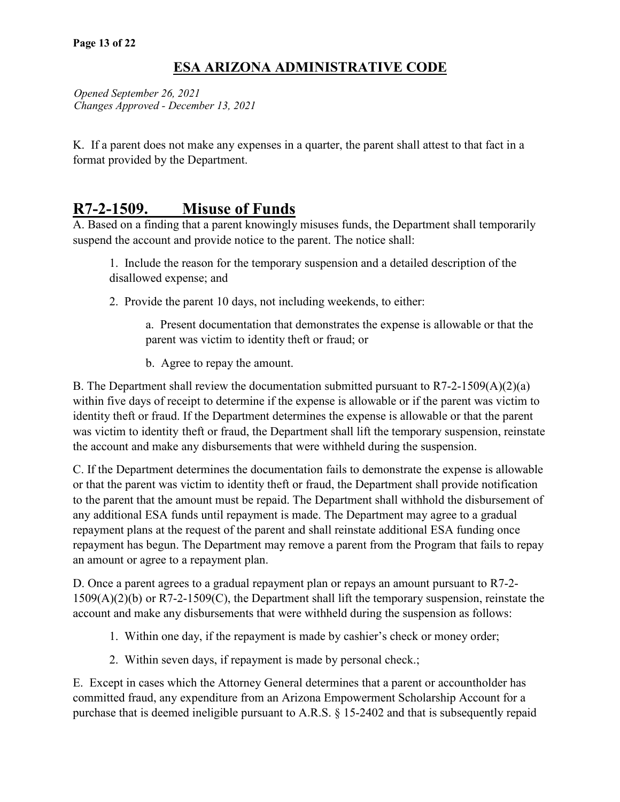*Opened September 26, 2021 Changes Approved - December 13, 2021*

K. If a parent does not make any expenses in a quarter, the parent shall attest to that fact in a format provided by the Department.

# **R7-2-1509. Misuse of Funds**

A. Based on a finding that a parent knowingly misuses funds, the Department shall temporarily suspend the account and provide notice to the parent. The notice shall:

1. Include the reason for the temporary suspension and a detailed description of the disallowed expense; and

2. Provide the parent 10 days, not including weekends, to either:

a. Present documentation that demonstrates the expense is allowable or that the parent was victim to identity theft or fraud; or

b. Agree to repay the amount.

B. The Department shall review the documentation submitted pursuant to  $R7-2-1509(A)(2)(a)$ within five days of receipt to determine if the expense is allowable or if the parent was victim to identity theft or fraud. If the Department determines the expense is allowable or that the parent was victim to identity theft or fraud, the Department shall lift the temporary suspension, reinstate the account and make any disbursements that were withheld during the suspension.

C. If the Department determines the documentation fails to demonstrate the expense is allowable or that the parent was victim to identity theft or fraud, the Department shall provide notification to the parent that the amount must be repaid. The Department shall withhold the disbursement of any additional ESA funds until repayment is made. The Department may agree to a gradual repayment plans at the request of the parent and shall reinstate additional ESA funding once repayment has begun. The Department may remove a parent from the Program that fails to repay an amount or agree to a repayment plan.

D. Once a parent agrees to a gradual repayment plan or repays an amount pursuant to R7-2- 1509(A)(2)(b) or R7-2-1509(C), the Department shall lift the temporary suspension, reinstate the account and make any disbursements that were withheld during the suspension as follows:

- 1. Within one day, if the repayment is made by cashier's check or money order;
- 2. Within seven days, if repayment is made by personal check.;

E. Except in cases which the Attorney General determines that a parent or accountholder has committed fraud, any expenditure from an Arizona Empowerment Scholarship Account for a purchase that is deemed ineligible pursuant to A.R.S. § 15-2402 and that is subsequently repaid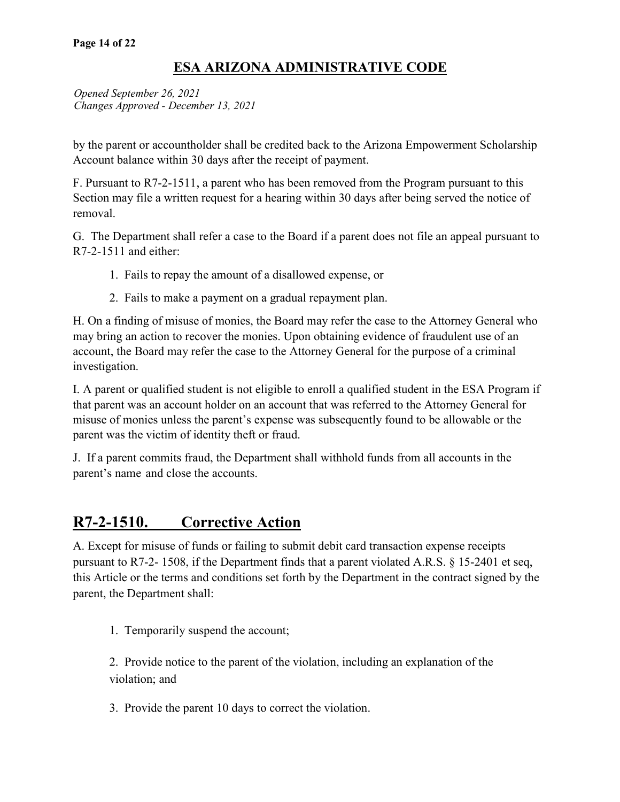*Opened September 26, 2021 Changes Approved - December 13, 2021*

by the parent or accountholder shall be credited back to the Arizona Empowerment Scholarship Account balance within 30 days after the receipt of payment.

F. Pursuant to R7-2-1511, a parent who has been removed from the Program pursuant to this Section may file a written request for a hearing within 30 days after being served the notice of removal.

G. The Department shall refer a case to the Board if a parent does not file an appeal pursuant to R7-2-1511 and either:

- 1. Fails to repay the amount of a disallowed expense, or
- 2. Fails to make a payment on a gradual repayment plan.

H. On a finding of misuse of monies, the Board may refer the case to the Attorney General who may bring an action to recover the monies. Upon obtaining evidence of fraudulent use of an account, the Board may refer the case to the Attorney General for the purpose of a criminal investigation.

I. A parent or qualified student is not eligible to enroll a qualified student in the ESA Program if that parent was an account holder on an account that was referred to the Attorney General for misuse of monies unless the parent's expense was subsequently found to be allowable or the parent was the victim of identity theft or fraud.

J. If a parent commits fraud, the Department shall withhold funds from all accounts in the parent's name and close the accounts.

# **R7-2-1510. Corrective Action**

A. Except for misuse of funds or failing to submit debit card transaction expense receipts pursuant to R7-2- 1508, if the Department finds that a parent violated A.R.S. § 15-2401 et seq, this Article or the terms and conditions set forth by the Department in the contract signed by the parent, the Department shall:

1. Temporarily suspend the account;

2. Provide notice to the parent of the violation, including an explanation of the violation; and

3. Provide the parent 10 days to correct the violation.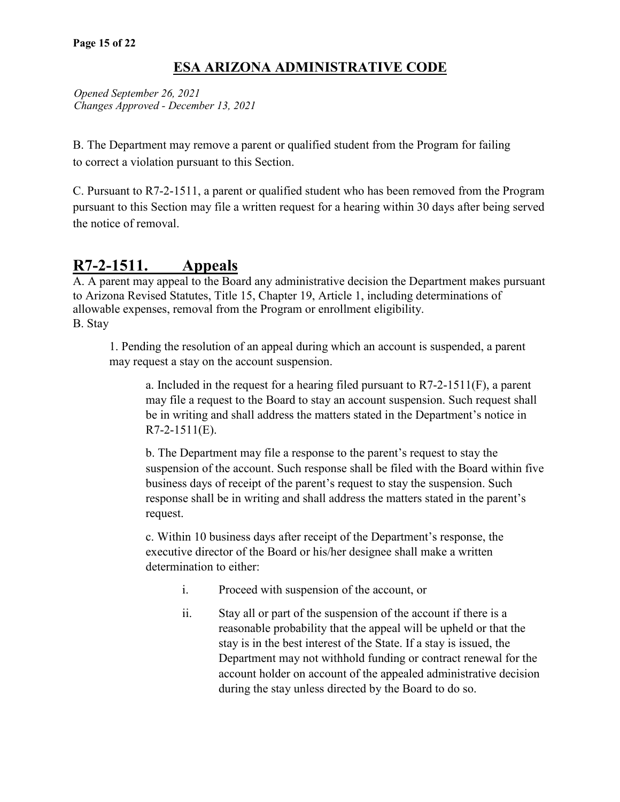*Opened September 26, 2021 Changes Approved - December 13, 2021*

B. The Department may remove a parent or qualified student from the Program for failing to correct a violation pursuant to this Section.

C. Pursuant to R7-2-1511, a parent or qualified student who has been removed from the Program pursuant to this Section may file a written request for a hearing within 30 days after being served the notice of removal.

# **R7-2-1511. Appeals**

A. A parent may appeal to the Board any administrative decision the Department makes pursuant to Arizona Revised Statutes, Title 15, Chapter 19, Article 1, including determinations of allowable expenses, removal from the Program or enrollment eligibility. B. Stay

1. Pending the resolution of an appeal during which an account is suspended, a parent may request a stay on the account suspension.

a. Included in the request for a hearing filed pursuant to  $R7-2-1511(F)$ , a parent may file a request to the Board to stay an account suspension. Such request shall be in writing and shall address the matters stated in the Department's notice in R7-2-1511(E).

b. The Department may file a response to the parent's request to stay the suspension of the account. Such response shall be filed with the Board within five business days of receipt of the parent's request to stay the suspension. Such response shall be in writing and shall address the matters stated in the parent's request.

c. Within 10 business days after receipt of the Department's response, the executive director of the Board or his/her designee shall make a written determination to either:

- i. Proceed with suspension of the account, or
- ii. Stay all or part of the suspension of the account if there is a reasonable probability that the appeal will be upheld or that the stay is in the best interest of the State. If a stay is issued, the Department may not withhold funding or contract renewal for the account holder on account of the appealed administrative decision during the stay unless directed by the Board to do so.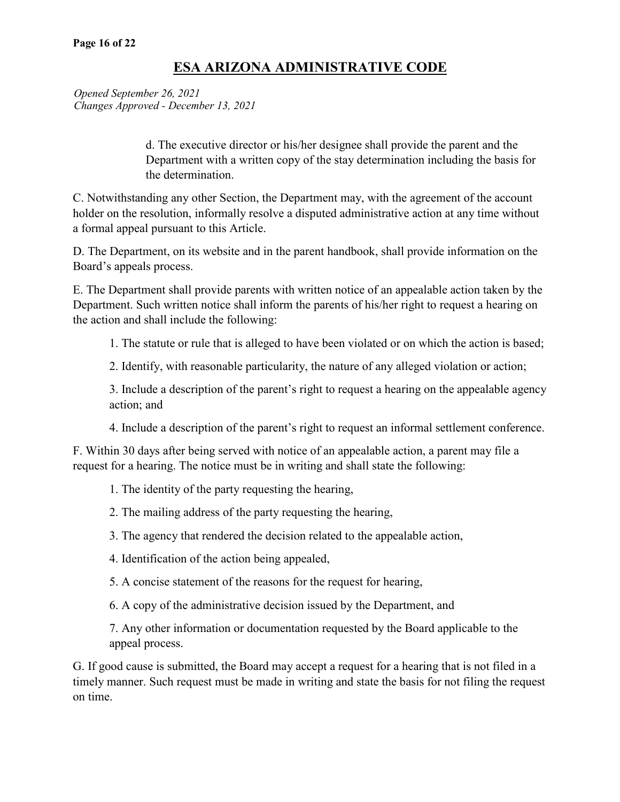*Opened September 26, 2021 Changes Approved - December 13, 2021*

> d. The executive director or his/her designee shall provide the parent and the Department with a written copy of the stay determination including the basis for the determination.

C. Notwithstanding any other Section, the Department may, with the agreement of the account holder on the resolution, informally resolve a disputed administrative action at any time without a formal appeal pursuant to this Article.

D. The Department, on its website and in the parent handbook, shall provide information on the Board's appeals process.

E. The Department shall provide parents with written notice of an appealable action taken by the Department. Such written notice shall inform the parents of his/her right to request a hearing on the action and shall include the following:

1. The statute or rule that is alleged to have been violated or on which the action is based;

2. Identify, with reasonable particularity, the nature of any alleged violation or action;

3. Include a description of the parent's right to request a hearing on the appealable agency action; and

4. Include a description of the parent's right to request an informal settlement conference.

F. Within 30 days after being served with notice of an appealable action, a parent may file a request for a hearing. The notice must be in writing and shall state the following:

1. The identity of the party requesting the hearing,

- 2. The mailing address of the party requesting the hearing,
- 3. The agency that rendered the decision related to the appealable action,
- 4. Identification of the action being appealed,
- 5. A concise statement of the reasons for the request for hearing,

6. A copy of the administrative decision issued by the Department, and

7. Any other information or documentation requested by the Board applicable to the appeal process.

G. If good cause is submitted, the Board may accept a request for a hearing that is not filed in a timely manner. Such request must be made in writing and state the basis for not filing the request on time.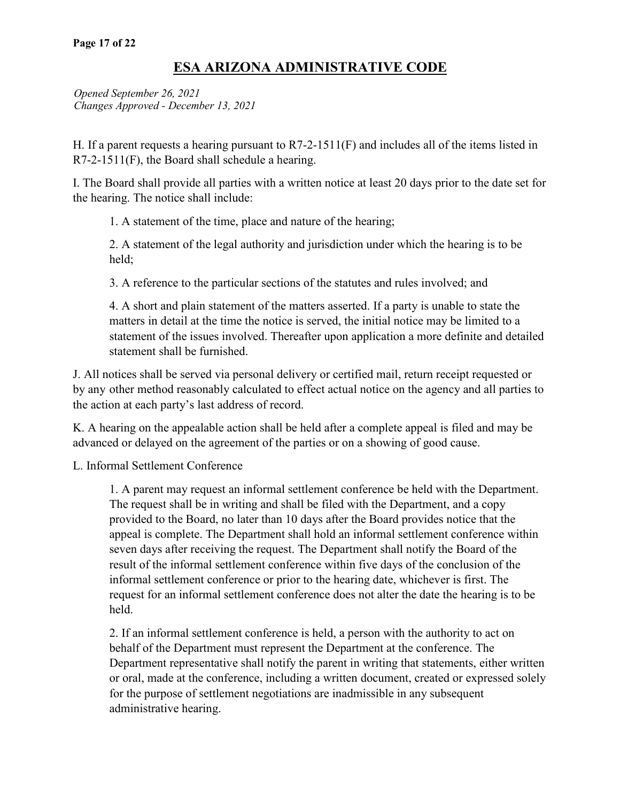*Opened September 26, 2021 Changes Approved - December 13, 2021*

H. If a parent requests a hearing pursuant to R7-2-1511(F) and includes all of the items listed in R7-2-1511(F), the Board shall schedule a hearing.

I. The Board shall provide all parties with a written notice at least 20 days prior to the date set for the hearing. The notice shall include:

1. A statement of the time, place and nature of the hearing;

2. A statement of the legal authority and jurisdiction under which the hearing is to be held;

3. A reference to the particular sections of the statutes and rules involved; and

4. A short and plain statement of the matters asserted. If a party is unable to state the matters in detail at the time the notice is served, the initial notice may be limited to a statement of the issues involved. Thereafter upon application a more definite and detailed statement shall be furnished.

J. All notices shall be served via personal delivery or certified mail, return receipt requested or by any other method reasonably calculated to effect actual notice on the agency and all parties to the action at each party's last address of record.

K. A hearing on the appealable action shall be held after a complete appeal is filed and may be advanced or delayed on the agreement of the parties or on a showing of good cause.

L. Informal Settlement Conference

1. A parent may request an informal settlement conference be held with the Department. The request shall be in writing and shall be filed with the Department, and a copy provided to the Board, no later than 10 days after the Board provides notice that the appeal is complete. The Department shall hold an informal settlement conference within seven days after receiving the request. The Department shall notify the Board of the result of the informal settlement conference within five days of the conclusion of the informal settlement conference or prior to the hearing date, whichever is first. The request for an informal settlement conference does not alter the date the hearing is to be held.

2. If an informal settlement conference is held, a person with the authority to act on behalf of the Department must represent the Department at the conference. The Department representative shall notify the parent in writing that statements, either written or oral, made at the conference, including a written document, created or expressed solely for the purpose of settlement negotiations are inadmissible in any subsequent administrative hearing.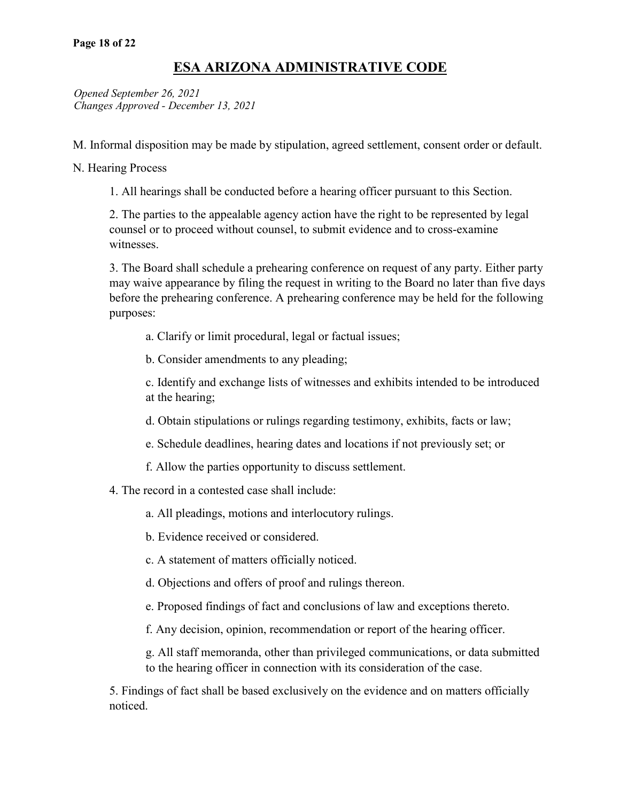*Opened September 26, 2021 Changes Approved - December 13, 2021*

M. Informal disposition may be made by stipulation, agreed settlement, consent order or default.

N. Hearing Process

1. All hearings shall be conducted before a hearing officer pursuant to this Section.

2. The parties to the appealable agency action have the right to be represented by legal counsel or to proceed without counsel, to submit evidence and to cross-examine witnesses.

3. The Board shall schedule a prehearing conference on request of any party. Either party may waive appearance by filing the request in writing to the Board no later than five days before the prehearing conference. A prehearing conference may be held for the following purposes:

a. Clarify or limit procedural, legal or factual issues;

b. Consider amendments to any pleading;

c. Identify and exchange lists of witnesses and exhibits intended to be introduced at the hearing;

d. Obtain stipulations or rulings regarding testimony, exhibits, facts or law;

e. Schedule deadlines, hearing dates and locations if not previously set; or

f. Allow the parties opportunity to discuss settlement.

4. The record in a contested case shall include:

a. All pleadings, motions and interlocutory rulings.

b. Evidence received or considered.

c. A statement of matters officially noticed.

d. Objections and offers of proof and rulings thereon.

e. Proposed findings of fact and conclusions of law and exceptions thereto.

f. Any decision, opinion, recommendation or report of the hearing officer.

g. All staff memoranda, other than privileged communications, or data submitted to the hearing officer in connection with its consideration of the case.

5. Findings of fact shall be based exclusively on the evidence and on matters officially noticed.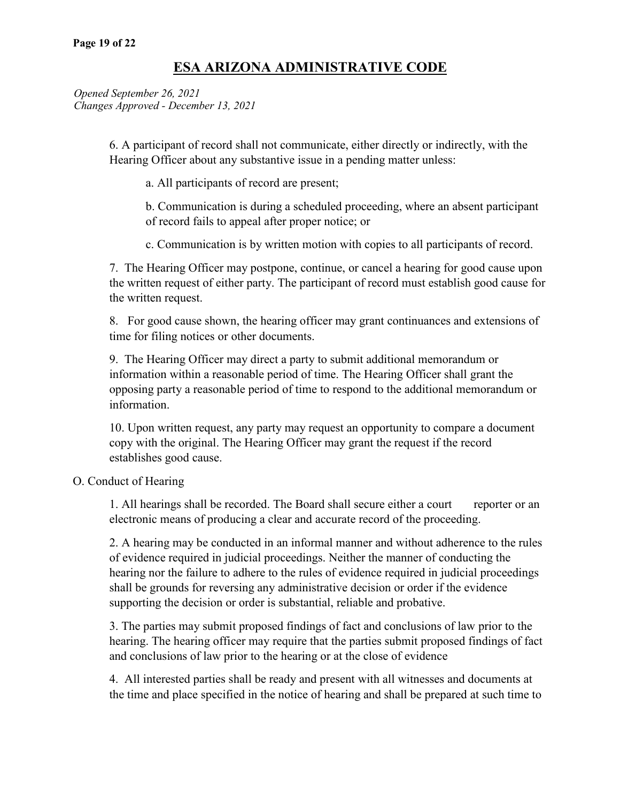*Opened September 26, 2021 Changes Approved - December 13, 2021*

> 6. A participant of record shall not communicate, either directly or indirectly, with the Hearing Officer about any substantive issue in a pending matter unless:

a. All participants of record are present;

b. Communication is during a scheduled proceeding, where an absent participant of record fails to appeal after proper notice; or

c. Communication is by written motion with copies to all participants of record.

7. The Hearing Officer may postpone, continue, or cancel a hearing for good cause upon the written request of either party. The participant of record must establish good cause for the written request.

8. For good cause shown, the hearing officer may grant continuances and extensions of time for filing notices or other documents.

9. The Hearing Officer may direct a party to submit additional memorandum or information within a reasonable period of time. The Hearing Officer shall grant the opposing party a reasonable period of time to respond to the additional memorandum or information.

10. Upon written request, any party may request an opportunity to compare a document copy with the original. The Hearing Officer may grant the request if the record establishes good cause.

#### O. Conduct of Hearing

1. All hearings shall be recorded. The Board shall secure either a court reporter or an electronic means of producing a clear and accurate record of the proceeding.

2. A hearing may be conducted in an informal manner and without adherence to the rules of evidence required in judicial proceedings. Neither the manner of conducting the hearing nor the failure to adhere to the rules of evidence required in judicial proceedings shall be grounds for reversing any administrative decision or order if the evidence supporting the decision or order is substantial, reliable and probative.

3. The parties may submit proposed findings of fact and conclusions of law prior to the hearing. The hearing officer may require that the parties submit proposed findings of fact and conclusions of law prior to the hearing or at the close of evidence

4. All interested parties shall be ready and present with all witnesses and documents at the time and place specified in the notice of hearing and shall be prepared at such time to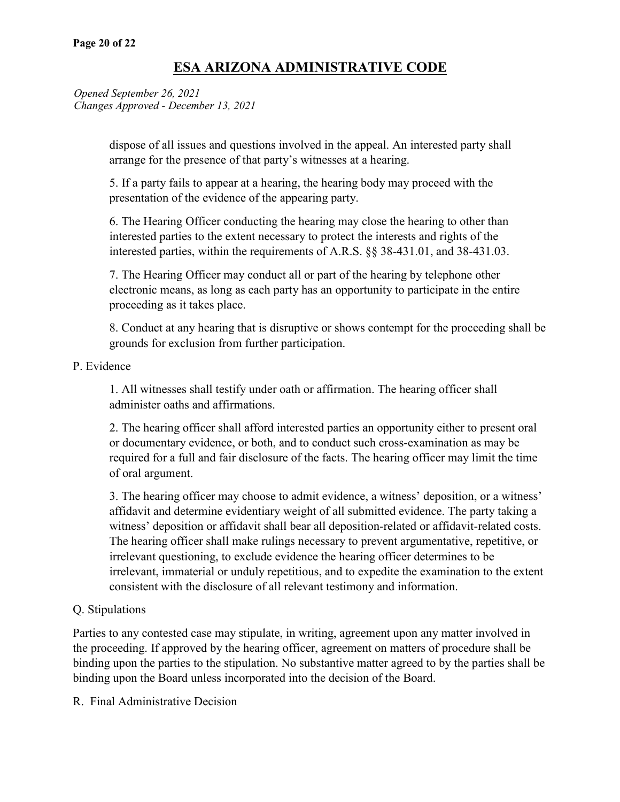*Opened September 26, 2021 Changes Approved - December 13, 2021*

> dispose of all issues and questions involved in the appeal. An interested party shall arrange for the presence of that party's witnesses at a hearing.

5. If a party fails to appear at a hearing, the hearing body may proceed with the presentation of the evidence of the appearing party.

6. The Hearing Officer conducting the hearing may close the hearing to other than interested parties to the extent necessary to protect the interests and rights of the interested parties, within the requirements of A.R.S. §§ 38-431.01, and 38-431.03.

7. The Hearing Officer may conduct all or part of the hearing by telephone other electronic means, as long as each party has an opportunity to participate in the entire proceeding as it takes place.

8. Conduct at any hearing that is disruptive or shows contempt for the proceeding shall be grounds for exclusion from further participation.

#### P. Evidence

1. All witnesses shall testify under oath or affirmation. The hearing officer shall administer oaths and affirmations.

2. The hearing officer shall afford interested parties an opportunity either to present oral or documentary evidence, or both, and to conduct such cross-examination as may be required for a full and fair disclosure of the facts. The hearing officer may limit the time of oral argument.

3. The hearing officer may choose to admit evidence, a witness' deposition, or a witness' affidavit and determine evidentiary weight of all submitted evidence. The party taking a witness' deposition or affidavit shall bear all deposition-related or affidavit-related costs. The hearing officer shall make rulings necessary to prevent argumentative, repetitive, or irrelevant questioning, to exclude evidence the hearing officer determines to be irrelevant, immaterial or unduly repetitious, and to expedite the examination to the extent consistent with the disclosure of all relevant testimony and information.

#### Q. Stipulations

Parties to any contested case may stipulate, in writing, agreement upon any matter involved in the proceeding. If approved by the hearing officer, agreement on matters of procedure shall be binding upon the parties to the stipulation. No substantive matter agreed to by the parties shall be binding upon the Board unless incorporated into the decision of the Board.

R. Final Administrative Decision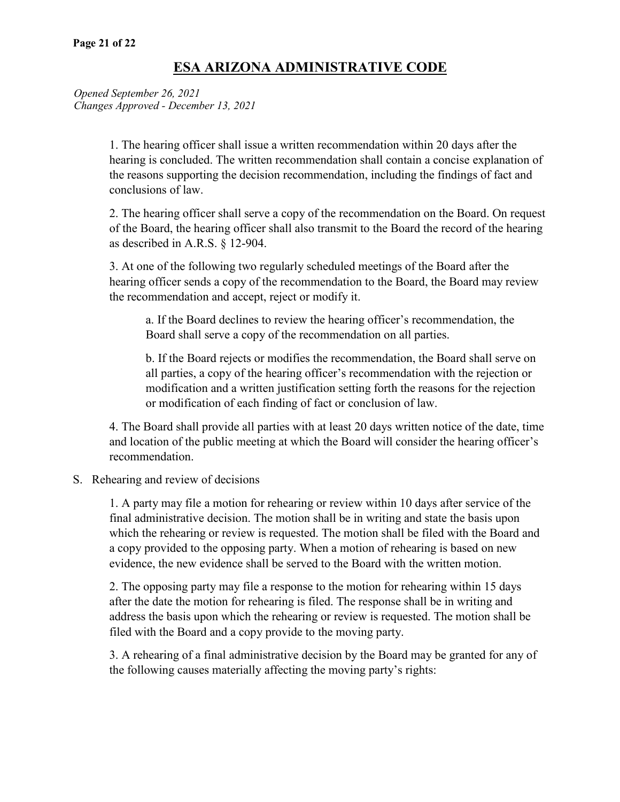*Opened September 26, 2021 Changes Approved - December 13, 2021*

> 1. The hearing officer shall issue a written recommendation within 20 days after the hearing is concluded. The written recommendation shall contain a concise explanation of the reasons supporting the decision recommendation, including the findings of fact and conclusions of law.

> 2. The hearing officer shall serve a copy of the recommendation on the Board. On request of the Board, the hearing officer shall also transmit to the Board the record of the hearing as described in A.R.S. § 12-904.

3. At one of the following two regularly scheduled meetings of the Board after the hearing officer sends a copy of the recommendation to the Board, the Board may review the recommendation and accept, reject or modify it.

a. If the Board declines to review the hearing officer's recommendation, the Board shall serve a copy of the recommendation on all parties.

b. If the Board rejects or modifies the recommendation, the Board shall serve on all parties, a copy of the hearing officer's recommendation with the rejection or modification and a written justification setting forth the reasons for the rejection or modification of each finding of fact or conclusion of law.

4. The Board shall provide all parties with at least 20 days written notice of the date, time and location of the public meeting at which the Board will consider the hearing officer's recommendation.

S. Rehearing and review of decisions

1. A party may file a motion for rehearing or review within 10 days after service of the final administrative decision. The motion shall be in writing and state the basis upon which the rehearing or review is requested. The motion shall be filed with the Board and a copy provided to the opposing party. When a motion of rehearing is based on new evidence, the new evidence shall be served to the Board with the written motion.

2. The opposing party may file a response to the motion for rehearing within 15 days after the date the motion for rehearing is filed. The response shall be in writing and address the basis upon which the rehearing or review is requested. The motion shall be filed with the Board and a copy provide to the moving party.

3. A rehearing of a final administrative decision by the Board may be granted for any of the following causes materially affecting the moving party's rights: